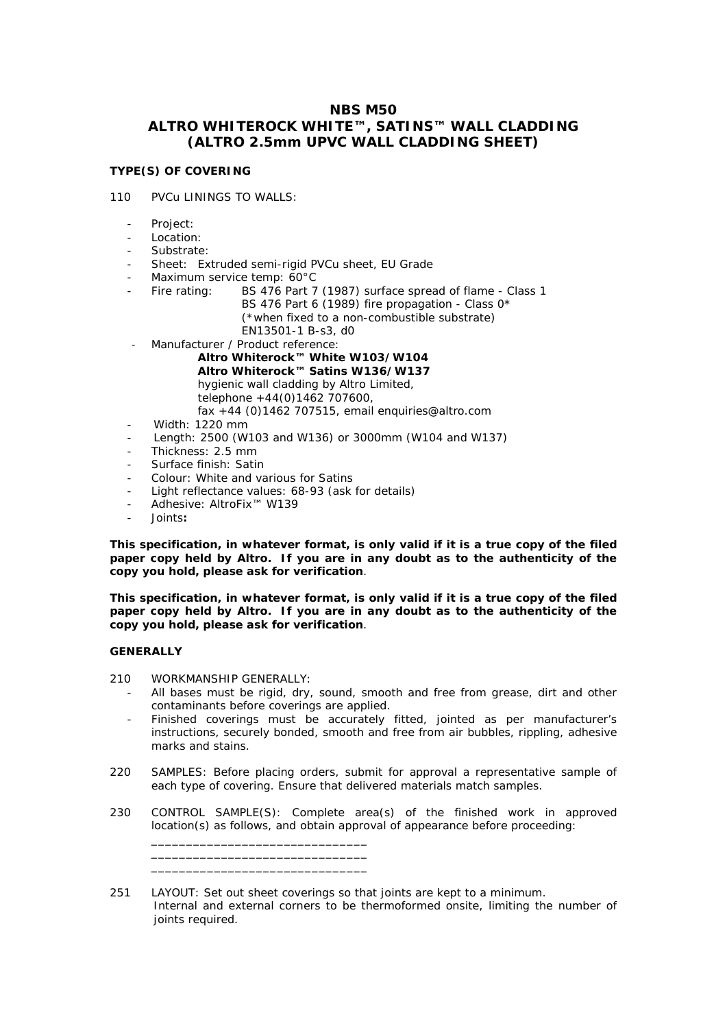# **NBS M50 ALTRO WHITEROCK WHITE™, SATINS™ WALL CLADDING (ALTRO 2.5mm UPVC WALL CLADDING SHEET)**

## **TYPE(S) OF COVERING**

## 110 PVCu LININGS TO WALLS:

- Project:
- Location:
- Substrate:
- Sheet: Extruded semi-rigid PVCu sheet, EU Grade
- Maximum service temp: 60°C
	- Fire rating: BS 476 Part 7 (1987) surface spread of flame Class 1 BS 476 Part 6 (1989) fire propagation - Class 0\* (\*when fixed to a non-combustible substrate) EN13501-1 B-s3, d0
- Manufacturer / Product reference:
	- **Altro Whiterock™ White W103/W104 Altro Whiterock™ Satins W136/W137**  hygienic wall cladding by Altro Limited, telephone +44(0)1462 707600, fax +44 (0)1462 707515, email enquiries@altro.com
	- Width: 1220 mm
- Length: 2500 (W103 and W136) or 3000mm (W104 and W137)
- Thickness: 2.5 mm
- Surface finish: Satin
- Colour: White and various for Satins
- Light reflectance values: 68-93 (ask for details)
- Adhesive: AltroFix™ W139
- Joints**:**

**This specification, in whatever format, is only valid if it is a true copy of the filed paper copy held by Altro. If you are in any doubt as to the authenticity of the copy you hold, please ask for verification**.

**This specification, in whatever format, is only valid if it is a true copy of the filed paper copy held by Altro. If you are in any doubt as to the authenticity of the copy you hold, please ask for verification**.

#### **GENERALLY**

210 WORKMANSHIP GENERALLY:

\_\_\_\_\_\_\_\_\_\_\_\_\_\_\_\_\_\_\_\_\_\_\_\_\_\_\_\_\_\_\_ \_\_\_\_\_\_\_\_\_\_\_\_\_\_\_\_\_\_\_\_\_\_\_\_\_\_\_\_\_\_\_ \_\_\_\_\_\_\_\_\_\_\_\_\_\_\_\_\_\_\_\_\_\_\_\_\_\_\_\_\_\_\_

- All bases must be rigid, dry, sound, smooth and free from grease, dirt and other contaminants before coverings are applied.
- Finished coverings must be accurately fitted, jointed as per manufacturer's instructions, securely bonded, smooth and free from air bubbles, rippling, adhesive marks and stains.
- 220 SAMPLES: Before placing orders, submit for approval a representative sample of each type of covering. Ensure that delivered materials match samples.
- 230 CONTROL SAMPLE(S): Complete area(s) of the finished work in approved location(s) as follows, and obtain approval of appearance before proceeding:

<sup>251</sup> LAYOUT: Set out sheet coverings so that joints are kept to a minimum. Internal and external corners to be thermoformed onsite, limiting the number of joints required.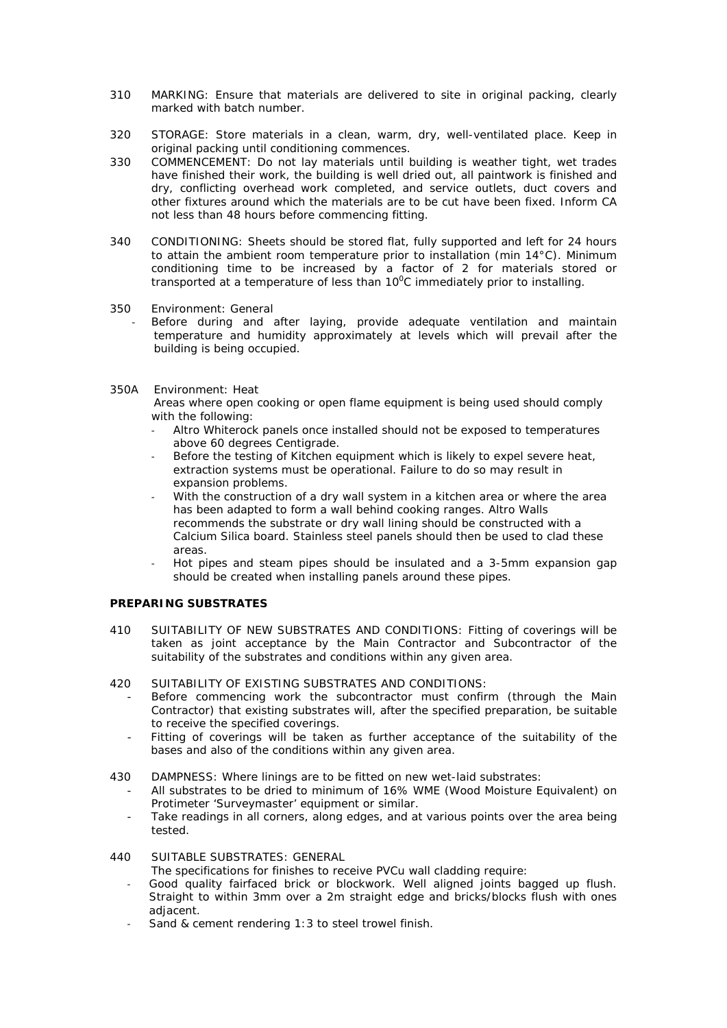- 310 MARKING: Ensure that materials are delivered to site in original packing, clearly marked with batch number.
- 320 STORAGE: Store materials in a clean, warm, dry, well-ventilated place. Keep in original packing until conditioning commences.
- 330 COMMENCEMENT: Do not lay materials until building is weather tight, wet trades have finished their work, the building is well dried out, all paintwork is finished and dry, conflicting overhead work completed, and service outlets, duct covers and other fixtures around which the materials are to be cut have been fixed. Inform CA not less than 48 hours before commencing fitting.
- 340 CONDITIONING: Sheets should be stored flat, fully supported and left for 24 hours to attain the ambient room temperature prior to installation (min 14°C). Minimum conditioning time to be increased by a factor of 2 for materials stored or transported at a temperature of less than  $10^0C$  immediately prior to installing.
- 350 Environment: General
	- Before during and after laying, provide adequate ventilation and maintain temperature and humidity approximately at levels which will prevail after the building is being occupied.
- 350A Environment: Heat

Areas where open cooking or open flame equipment is being used should comply with the following:

- Altro Whiterock panels once installed should not be exposed to temperatures above 60 degrees Centigrade.
- Before the testing of Kitchen equipment which is likely to expel severe heat, extraction systems must be operational. Failure to do so may result in expansion problems.
- With the construction of a dry wall system in a kitchen area or where the area has been adapted to form a wall behind cooking ranges. Altro Walls recommends the substrate or dry wall lining should be constructed with a Calcium Silica board. Stainless steel panels should then be used to clad these areas.
- Hot pipes and steam pipes should be insulated and a 3-5mm expansion gap should be created when installing panels around these pipes.

## **PREPARING SUBSTRATES**

- 410 SUITABILITY OF NEW SUBSTRATES AND CONDITIONS: Fitting of coverings will be taken as joint acceptance by the Main Contractor and Subcontractor of the suitability of the substrates and conditions within any given area.
- 420 SUITABILITY OF EXISTING SUBSTRATES AND CONDITIONS:
	- Before commencing work the subcontractor must confirm (through the Main Contractor) that existing substrates will, after the specified preparation, be suitable to receive the specified coverings.
	- Fitting of coverings will be taken as further acceptance of the suitability of the bases and also of the conditions within any given area.
- 430 DAMPNESS: Where linings are to be fitted on new wet-laid substrates:
	- All substrates to be dried to minimum of 16% WME (Wood Moisture Equivalent) on Protimeter 'Surveymaster' equipment or similar.
	- Take readings in all corners, along edges, and at various points over the area being tested.
- 440 SUITABLE SUBSTRATES: GENERAL

The specifications for finishes to receive PVCu wall cladding require:

- Good quality fairfaced brick or blockwork. Well aligned joints bagged up flush. Straight to within 3mm over a 2m straight edge and bricks/blocks flush with ones adjacent.
- Sand & cement rendering 1:3 to steel trowel finish.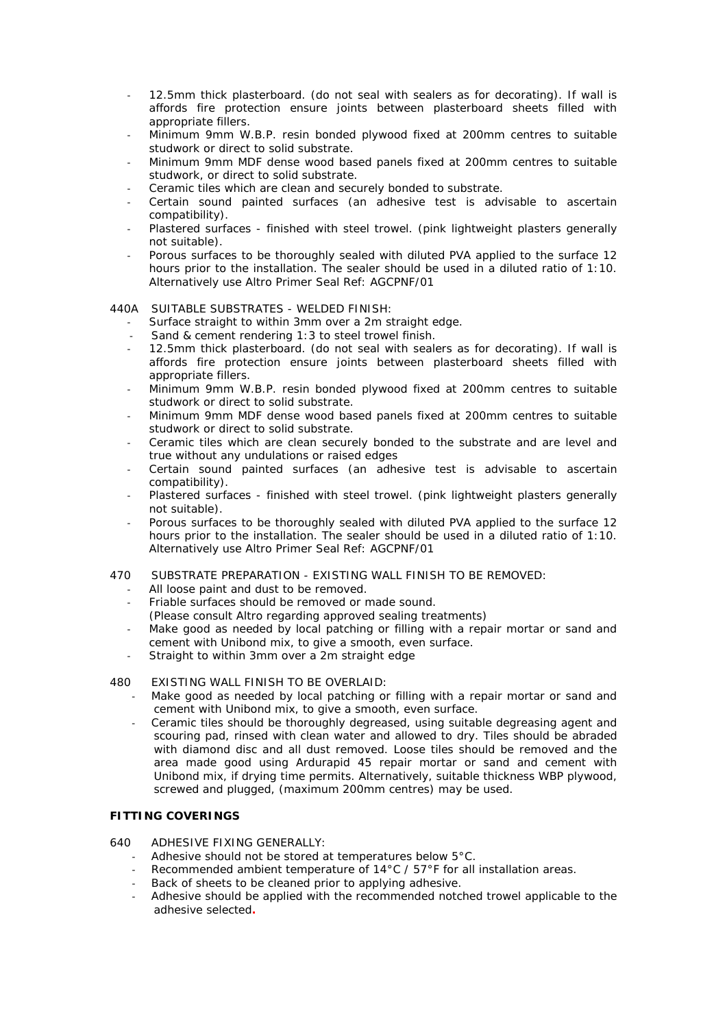- 12.5mm thick plasterboard. (do not seal with sealers as for decorating). If wall is affords fire protection ensure joints between plasterboard sheets filled with appropriate fillers.
- Minimum 9mm W.B.P. resin bonded plywood fixed at 200mm centres to suitable studwork or direct to solid substrate.
- Minimum 9mm MDF dense wood based panels fixed at 200mm centres to suitable studwork, or direct to solid substrate.
- Ceramic tiles which are clean and securely bonded to substrate.
- Certain sound painted surfaces (an adhesive test is advisable to ascertain compatibility).
- Plastered surfaces finished with steel trowel. (pink lightweight plasters generally not suitable).
- Porous surfaces to be thoroughly sealed with diluted PVA applied to the surface 12 hours prior to the installation. The sealer should be used in a diluted ratio of 1:10. Alternatively use Altro Primer Seal Ref: AGCPNF/01

## 440A SUITABLE SUBSTRATES - WELDED FINISH:

- Surface straight to within 3mm over a 2m straight edge.
- Sand & cement rendering 1:3 to steel trowel finish.
- 12.5mm thick plasterboard. (do not seal with sealers as for decorating). If wall is affords fire protection ensure joints between plasterboard sheets filled with appropriate fillers.
- Minimum 9mm W.B.P. resin bonded plywood fixed at 200mm centres to suitable studwork or direct to solid substrate.
- Minimum 9mm MDF dense wood based panels fixed at 200mm centres to suitable studwork or direct to solid substrate.
- Ceramic tiles which are clean securely bonded to the substrate and are level and true without any undulations or raised edges
- Certain sound painted surfaces (an adhesive test is advisable to ascertain compatibility).
- Plastered surfaces finished with steel trowel. (pink lightweight plasters generally not suitable).
- Porous surfaces to be thoroughly sealed with diluted PVA applied to the surface 12 hours prior to the installation. The sealer should be used in a diluted ratio of 1:10. Alternatively use Altro Primer Seal Ref: AGCPNF/01
- 470 SUBSTRATE PREPARATION EXISTING WALL FINISH TO BE REMOVED:
	- All loose paint and dust to be removed.
	- Friable surfaces should be removed or made sound.
	- (Please consult Altro regarding approved sealing treatments)
	- Make good as needed by local patching or filling with a repair mortar or sand and cement with Unibond mix, to give a smooth, even surface.
	- Straight to within 3mm over a 2m straight edge

## 480 EXISTING WALL FINISH TO BE OVERLAID:

- Make good as needed by local patching or filling with a repair mortar or sand and cement with Unibond mix, to give a smooth, even surface.
- Ceramic tiles should be thoroughly degreased, using suitable degreasing agent and scouring pad, rinsed with clean water and allowed to dry. Tiles should be abraded with diamond disc and all dust removed. Loose tiles should be removed and the area made good using Ardurapid 45 repair mortar or sand and cement with Unibond mix, if drying time permits. Alternatively, suitable thickness WBP plywood, screwed and plugged, (maximum 200mm centres) may be used.

## **FITTING COVERINGS**

- 640 ADHESIVE FIXING GENERALLY:
	- Adhesive should not be stored at temperatures below 5°C.
	- Recommended ambient temperature of 14°C / 57°F for all installation areas.
	- Back of sheets to be cleaned prior to applying adhesive.
	- Adhesive should be applied with the recommended notched trowel applicable to the adhesive selected**.**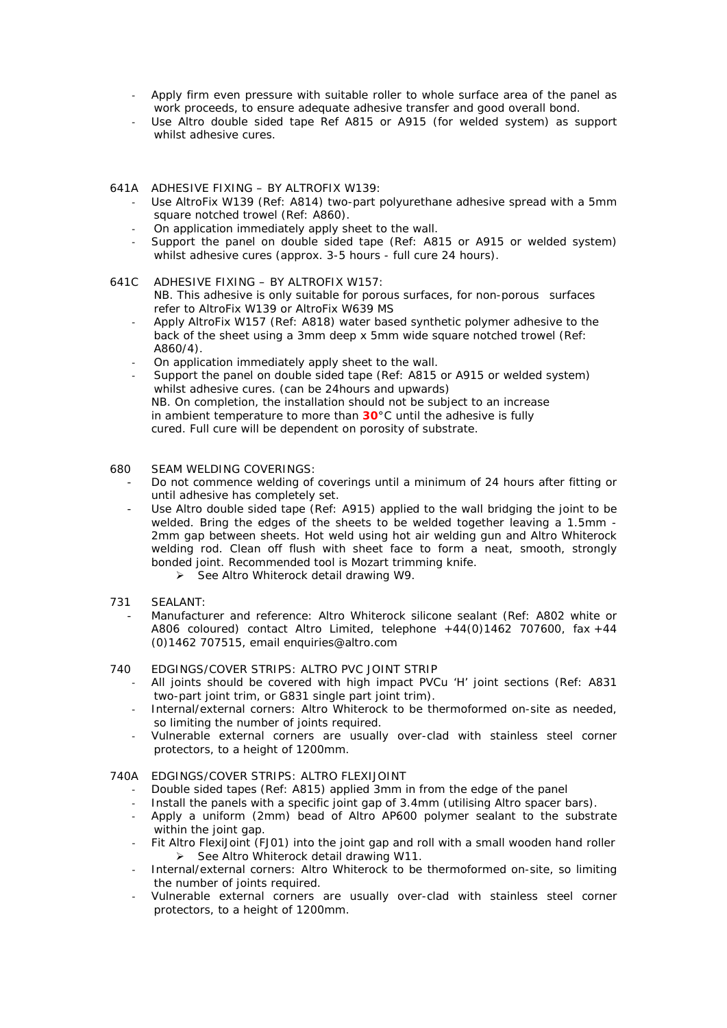- Apply firm even pressure with suitable roller to whole surface area of the panel as work proceeds, to ensure adequate adhesive transfer and good overall bond.
- Use Altro double sided tape Ref A815 or A915 (for welded system) as support whilst adhesive cures.
- 641A ADHESIVE FIXING BY ALTROFIX W139:
	- Use AltroFix W139 (Ref: A814) two-part polyurethane adhesive spread with a 5mm square notched trowel (Ref: A860).
	- On application immediately apply sheet to the wall.
	- Support the panel on double sided tape (Ref: A815 or A915 or welded system) whilst adhesive cures (approx. 3-5 hours - full cure 24 hours).
- 641C ADHESIVE FIXING BY ALTROFIX W157:
	- NB. This adhesive is only suitable for porous surfaces, for non-porous surfaces refer to AltroFix W139 or AltroFix W639 MS
	- Apply AltroFix W157 (Ref: A818) water based synthetic polymer adhesive to the back of the sheet using a 3mm deep x 5mm wide square notched trowel (Ref: A860/4).
	- On application immediately apply sheet to the wall.
	- Support the panel on double sided tape (Ref: A815 or A915 or welded system) whilst adhesive cures. (can be 24hours and upwards) NB. On completion, the installation should not be subject to an increase in ambient temperature to more than **30**°C until the adhesive is fully cured. Full cure will be dependent on porosity of substrate.
- 680 SEAM WELDING COVERINGS:
	- Do not commence welding of coverings until a minimum of 24 hours after fitting or until adhesive has completely set.
	- Use Altro double sided tape (Ref: A915) applied to the wall bridging the joint to be welded. Bring the edges of the sheets to be welded together leaving a 1.5mm - 2mm gap between sheets. Hot weld using hot air welding gun and Altro Whiterock welding rod. Clean off flush with sheet face to form a neat, smooth, strongly bonded joint. Recommended tool is Mozart trimming knife.
		- $\triangleright$  See Altro Whiterock detail drawing W9.
- 731 SEALANT:
	- Manufacturer and reference: Altro Whiterock silicone sealant (Ref: A802 white or A806 coloured) contact Altro Limited, telephone  $+44(0)1462$  707600, fax  $+44$ (0)1462 707515, email enquiries@altro.com
- 740 EDGINGS/COVER STRIPS: ALTRO PVC JOINT STRIP
	- All joints should be covered with high impact PVCu 'H' joint sections (Ref: A831 two-part joint trim, or G831 single part joint trim).
	- Internal/external corners: Altro Whiterock to be thermoformed on-site as needed, so limiting the number of joints required.
	- Vulnerable external corners are usually over-clad with stainless steel corner protectors, to a height of 1200mm.
- 740A EDGINGS/COVER STRIPS: ALTRO FLEXIJOINT
	- Double sided tapes (Ref: A815) applied 3mm in from the edge of the panel
	- Install the panels with a specific joint gap of 3.4mm (utilising Altro spacer bars).
	- Apply a uniform (2mm) bead of Altro AP600 polymer sealant to the substrate within the joint gap.
	- Fit Altro FlexiJoint (FJ01) into the joint gap and roll with a small wooden hand roller  $\triangleright$  See Altro Whiterock detail drawing W11.
	- Internal/external corners: Altro Whiterock to be thermoformed on-site, so limiting the number of joints required.
	- Vulnerable external corners are usually over-clad with stainless steel corner protectors, to a height of 1200mm.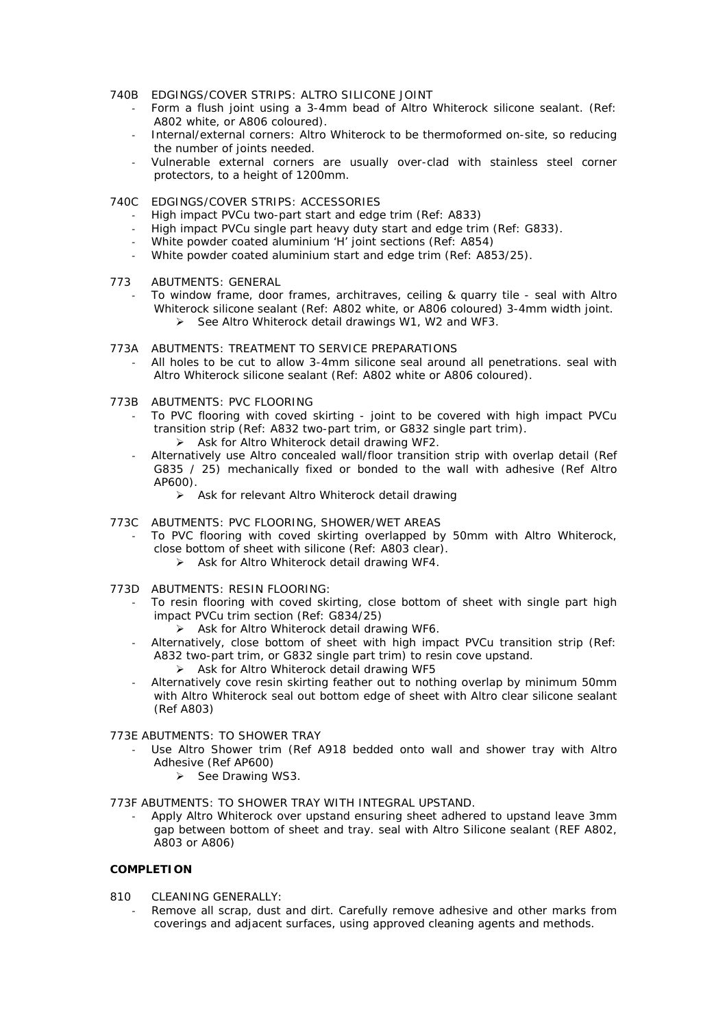- 740B EDGINGS/COVER STRIPS: ALTRO SILICONE JOINT
	- Form a flush joint using a 3-4mm bead of Altro Whiterock silicone sealant. (Ref: A802 white, or A806 coloured).
	- Internal/external corners: Altro Whiterock to be thermoformed on-site, so reducing the number of joints needed.
	- Vulnerable external corners are usually over-clad with stainless steel corner protectors, to a height of 1200mm.
- 740C EDGINGS/COVER STRIPS: ACCESSORIES
	- High impact PVCu two-part start and edge trim (Ref: A833)
	- High impact PVCu single part heavy duty start and edge trim (Ref: G833).
	- White powder coated aluminium 'H' joint sections (Ref: A854)
	- White powder coated aluminium start and edge trim (Ref: A853/25).
- 773 ABUTMENTS: GENERAL
	- To window frame, door frames, architraves, ceiling & quarry tile seal with Altro Whiterock silicone sealant (Ref: A802 white, or A806 coloured) 3-4mm width joint.  $\triangleright$  See Altro Whiterock detail drawings W1, W2 and WF3.
- 773A ABUTMENTS: TREATMENT TO SERVICE PREPARATIONS
	- All holes to be cut to allow 3-4mm silicone seal around all penetrations. seal with Altro Whiterock silicone sealant (Ref: A802 white or A806 coloured).
- 773B ABUTMENTS: PVC FLOORING
	- To PVC flooring with coved skirting joint to be covered with high impact PVCu transition strip (Ref: A832 two-part trim, or G832 single part trim).
		- $\triangleright$  Ask for Altro Whiterock detail drawing WF2.
	- Alternatively use Altro concealed wall/floor transition strip with overlap detail (Ref G835 / 25) mechanically fixed or bonded to the wall with adhesive (Ref Altro AP600).
		- > Ask for relevant Altro Whiterock detail drawing
- 773C ABUTMENTS: PVC FLOORING, SHOWER/WET AREAS
	- To PVC flooring with coved skirting overlapped by 50mm with Altro Whiterock, close bottom of sheet with silicone (Ref: A803 clear).
		- $\triangleright$  Ask for Altro Whiterock detail drawing WF4.
- 773D ABUTMENTS: RESIN FLOORING:
	- To resin flooring with coved skirting, close bottom of sheet with single part high impact PVCu trim section (Ref: G834/25)
		- $\triangleright$  Ask for Altro Whiterock detail drawing WF6.
	- Alternatively, close bottom of sheet with high impact PVCu transition strip (Ref: A832 two-part trim, or G832 single part trim) to resin cove upstand.
		- Ask for Altro Whiterock detail drawing WF5
	- Alternatively cove resin skirting feather out to nothing overlap by minimum 50mm with Altro Whiterock seal out bottom edge of sheet with Altro clear silicone sealant (Ref A803)

## 773E ABUTMENTS: TO SHOWER TRAY

- Use Altro Shower trim (Ref A918 bedded onto wall and shower tray with Altro Adhesive (Ref AP600)
	- $\triangleright$  See Drawing WS3.

773F ABUTMENTS: TO SHOWER TRAY WITH INTEGRAL UPSTAND.

- Apply Altro Whiterock over upstand ensuring sheet adhered to upstand leave 3mm gap between bottom of sheet and tray. seal with Altro Silicone sealant (REF A802, A803 or A806)

#### **COMPLETION**

- 810 CLEANING GENERALLY:
	- Remove all scrap, dust and dirt. Carefully remove adhesive and other marks from coverings and adjacent surfaces, using approved cleaning agents and methods.